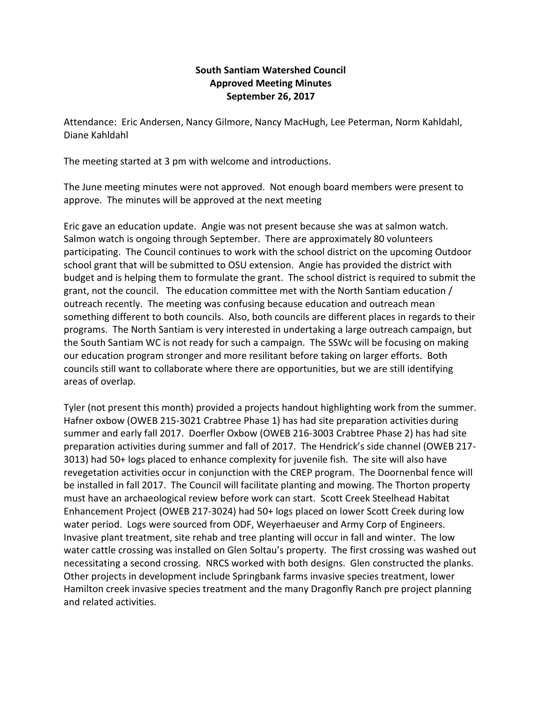## **South Santiam Watershed Council Approved Meeting Minutes September 26, 2017**

Attendance: Eric Andersen, Nancy Gilmore, Nancy MacHugh, Lee Peterman, Norm Kahldahl, Diane Kahldahl

The meeting started at 3 pm with welcome and introductions.

The June meeting minutes were not approved. Not enough board members were present to approve. The minutes will be approved at the next meeting

Eric gave an education update. Angie was not present because she was at salmon watch. Salmon watch is ongoing through September. There are approximately 80 volunteers participating. The Council continues to work with the school district on the upcoming Outdoor school grant that will be submitted to OSU extension. Angie has provided the district with budget and is helping them to formulate the grant. The school district is required to submit the grant, not the council. The education committee met with the North Santiam education / outreach recently. The meeting was confusing because education and outreach mean something different to both councils. Also, both councils are different places in regards to their programs. The North Santiam is very interested in undertaking a large outreach campaign, but the South Santiam WC is not ready for such a campaign. The SSWc will be focusing on making our education program stronger and more resilitant before taking on larger efforts. Both councils still want to collaborate where there are opportunities, but we are still identifying areas of overlap.

Tyler (not present this month) provided a projects handout highlighting work from the summer. Hafner oxbow (OWEB 215-3021 Crabtree Phase 1) has had site preparation activities during summer and early fall 2017. Doerfler Oxbow (OWEB 216-3003 Crabtree Phase 2) has had site preparation activities during summer and fall of 2017. The Hendrick's side channel (OWEB 217- 3013) had 50+ logs placed to enhance complexity for juvenile fish. The site will also have revegetation activities occur in conjunction with the CREP program. The Doornenbal fence will be installed in fall 2017. The Council will facilitate planting and mowing. The Thorton property must have an archaeological review before work can start. Scott Creek Steelhead Habitat Enhancement Project (OWEB 217-3024) had 50+ logs placed on lower Scott Creek during low water period. Logs were sourced from ODF, Weyerhaeuser and Army Corp of Engineers. Invasive plant treatment, site rehab and tree planting will occur in fall and winter. The low water cattle crossing was installed on Glen Soltau's property. The first crossing was washed out necessitating a second crossing. NRCS worked with both designs. Glen constructed the planks. Other projects in development include Springbank farms invasive species treatment, lower Hamilton creek invasive species treatment and the many Dragonfly Ranch pre project planning and related activities.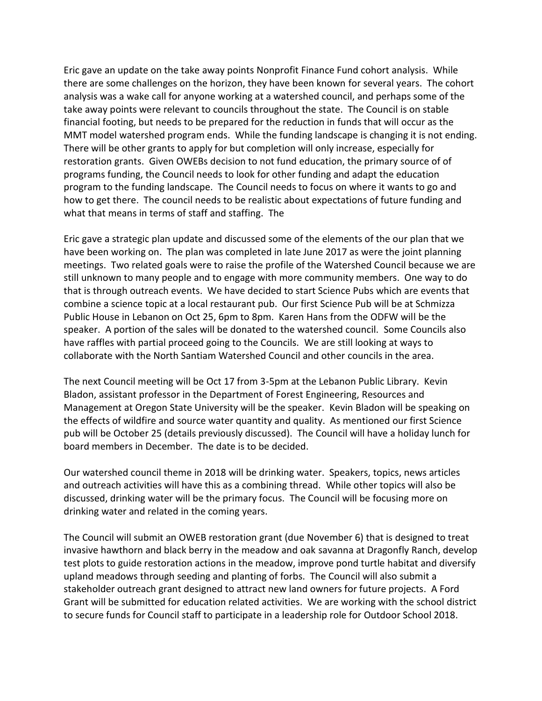Eric gave an update on the take away points Nonprofit Finance Fund cohort analysis. While there are some challenges on the horizon, they have been known for several years. The cohort analysis was a wake call for anyone working at a watershed council, and perhaps some of the take away points were relevant to councils throughout the state. The Council is on stable financial footing, but needs to be prepared for the reduction in funds that will occur as the MMT model watershed program ends. While the funding landscape is changing it is not ending. There will be other grants to apply for but completion will only increase, especially for restoration grants. Given OWEBs decision to not fund education, the primary source of of programs funding, the Council needs to look for other funding and adapt the education program to the funding landscape. The Council needs to focus on where it wants to go and how to get there. The council needs to be realistic about expectations of future funding and what that means in terms of staff and staffing. The

Eric gave a strategic plan update and discussed some of the elements of the our plan that we have been working on. The plan was completed in late June 2017 as were the joint planning meetings. Two related goals were to raise the profile of the Watershed Council because we are still unknown to many people and to engage with more community members. One way to do that is through outreach events. We have decided to start Science Pubs which are events that combine a science topic at a local restaurant pub. Our first Science Pub will be at Schmizza Public House in Lebanon on Oct 25, 6pm to 8pm. Karen Hans from the ODFW will be the speaker. A portion of the sales will be donated to the watershed council. Some Councils also have raffles with partial proceed going to the Councils. We are still looking at ways to collaborate with the North Santiam Watershed Council and other councils in the area.

The next Council meeting will be Oct 17 from 3-5pm at the Lebanon Public Library. Kevin Bladon, assistant professor in the Department of Forest Engineering, Resources and Management at Oregon State University will be the speaker. Kevin Bladon will be speaking on the effects of wildfire and source water quantity and quality. As mentioned our first Science pub will be October 25 (details previously discussed). The Council will have a holiday lunch for board members in December. The date is to be decided.

Our watershed council theme in 2018 will be drinking water. Speakers, topics, news articles and outreach activities will have this as a combining thread. While other topics will also be discussed, drinking water will be the primary focus. The Council will be focusing more on drinking water and related in the coming years.

The Council will submit an OWEB restoration grant (due November 6) that is designed to treat invasive hawthorn and black berry in the meadow and oak savanna at Dragonfly Ranch, develop test plots to guide restoration actions in the meadow, improve pond turtle habitat and diversify upland meadows through seeding and planting of forbs. The Council will also submit a stakeholder outreach grant designed to attract new land owners for future projects. A Ford Grant will be submitted for education related activities. We are working with the school district to secure funds for Council staff to participate in a leadership role for Outdoor School 2018.